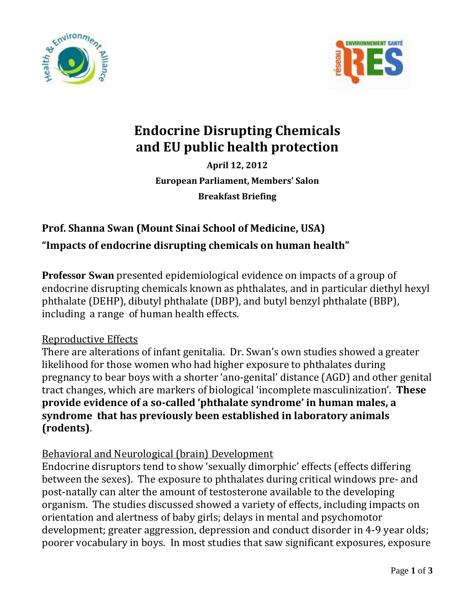



# **Endocrine Disrupting Chemicals and EU public health protection**

**April 12, 2012 European Parliament, Members' Salon Breakfast Briefing**

# **Prof. Shanna Swan (Mount Sinai School of Medicine, USA)**

**"Impacts of endocrine disrupting chemicals on human health"**

**Professor Swan** presented epidemiological evidence on impacts of a group of endocrine disrupting chemicals known as phthalates, and in particular diethyl hexyl phthalate (DEHP), dibutyl phthalate (DBP), and butyl benzyl phthalate (BBP), including a range of human health effects.

# Reproductive Effects

There are alterations of infant genitalia. Dr. Swan's own studies showed a greater likelihood for those women who had higher exposure to phthalates during pregnancy to bear boys with a shorter 'ano-genital' distance (AGD) and other genital tract changes, which are markers of biological 'incomplete masculinization'. **These provide evidence of a so-called 'phthalate syndrome' in human males, a syndrome that has previously been established in laboratory animals (rodents)**.

# Behavioral and Neurological (brain) Development

Endocrine disruptors tend to show 'sexually dimorphic' effects (effects differing between the sexes). The exposure to phthalates during critical windows pre- and post-natally can alter the amount of testosterone available to the developing organism. The studies discussed showed a variety of effects, including impacts on orientation and alertness of baby girls; delays in mental and psychomotor development; greater aggression, depression and conduct disorder in 4-9 year olds; poorer vocabulary in boys. In most studies that saw significant exposures, exposure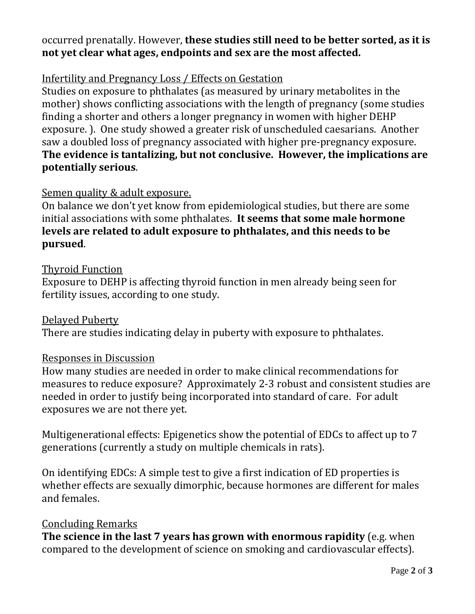### occurred prenatally. However, **these studies still need to be better sorted, as it is not yet clear what ages, endpoints and sex are the most affected.**

#### Infertility and Pregnancy Loss / Effects on Gestation

Studies on exposure to phthalates (as measured by urinary metabolites in the mother) shows conflicting associations with the length of pregnancy (some studies finding a shorter and others a longer pregnancy in women with higher DEHP exposure. ). One study showed a greater risk of unscheduled caesarians. Another saw a doubled loss of pregnancy associated with higher pre-pregnancy exposure. **The evidence is tantalizing, but not conclusive. However, the implications are potentially serious**.

#### Semen quality & adult exposure.

On balance we don't yet know from epidemiological studies, but there are some initial associations with some phthalates. **It seems that some male hormone levels are related to adult exposure to phthalates, and this needs to be pursued**.

#### Thyroid Function

Exposure to DEHP is affecting thyroid function in men already being seen for fertility issues, according to one study.

#### Delayed Puberty

There are studies indicating delay in puberty with exposure to phthalates.

#### Responses in Discussion

How many studies are needed in order to make clinical recommendations for measures to reduce exposure? Approximately 2-3 robust and consistent studies are needed in order to justify being incorporated into standard of care. For adult exposures we are not there yet.

Multigenerational effects: Epigenetics show the potential of EDCs to affect up to 7 generations (currently a study on multiple chemicals in rats).

On identifying EDCs: A simple test to give a first indication of ED properties is whether effects are sexually dimorphic, because hormones are different for males and females.

#### Concluding Remarks

**The science in the last 7 years has grown with enormous rapidity** (e.g. when compared to the development of science on smoking and cardiovascular effects).